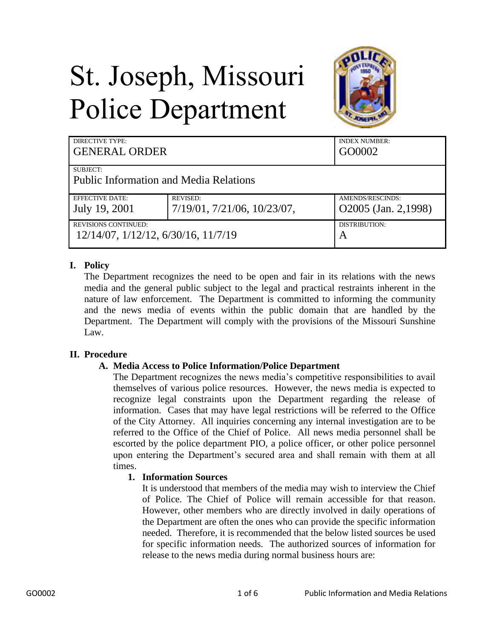# St. Joseph, Missouri Police Department



| <b>DIRECTIVE TYPE:</b><br><b>GENERAL ORDER</b> |                             | <b>INDEX NUMBER:</b><br>GO0002 |
|------------------------------------------------|-----------------------------|--------------------------------|
| <b>SUBJECT:</b>                                |                             |                                |
| <b>Public Information and Media Relations</b>  |                             |                                |
| EFFECTIVE DATE:                                | <b>REVISED:</b>             | AMENDS/RESCINDS:               |
| July 19, 2001                                  | 7/19/01, 7/21/06, 10/23/07, | O2005 (Jan. 2,1998)            |
| <b>REVISIONS CONTINUED:</b>                    |                             | DISTRIBUTION:                  |
| 12/14/07, 1/12/12, 6/30/16, 11/7/19            |                             | A                              |

# **I. Policy**

The Department recognizes the need to be open and fair in its relations with the news media and the general public subject to the legal and practical restraints inherent in the nature of law enforcement. The Department is committed to informing the community and the news media of events within the public domain that are handled by the Department. The Department will comply with the provisions of the Missouri Sunshine Law.

# **II. Procedure**

# **A. Media Access to Police Information/Police Department**

The Department recognizes the news media's competitive responsibilities to avail themselves of various police resources. However, the news media is expected to recognize legal constraints upon the Department regarding the release of information. Cases that may have legal restrictions will be referred to the Office of the City Attorney. All inquiries concerning any internal investigation are to be referred to the Office of the Chief of Police. All news media personnel shall be escorted by the police department PIO, a police officer, or other police personnel upon entering the Department's secured area and shall remain with them at all times.

# **1. Information Sources**

It is understood that members of the media may wish to interview the Chief of Police. The Chief of Police will remain accessible for that reason. However, other members who are directly involved in daily operations of the Department are often the ones who can provide the specific information needed. Therefore, it is recommended that the below listed sources be used for specific information needs. The authorized sources of information for release to the news media during normal business hours are: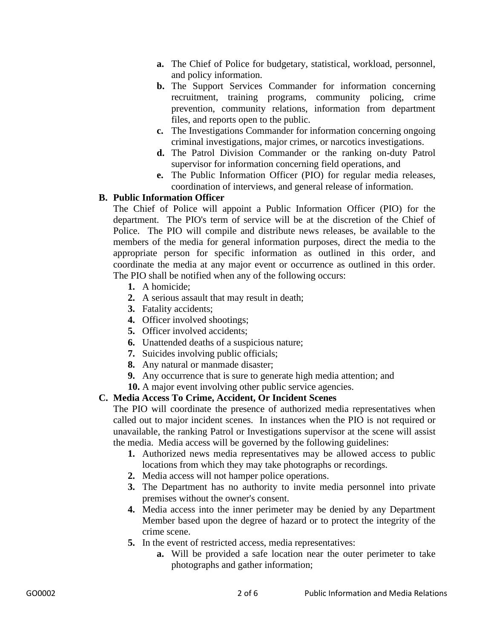- **a.** The Chief of Police for budgetary, statistical, workload, personnel, and policy information.
- **b.** The Support Services Commander for information concerning recruitment, training programs, community policing, crime prevention, community relations, information from department files, and reports open to the public.
- **c.** The Investigations Commander for information concerning ongoing criminal investigations, major crimes, or narcotics investigations.
- **d.** The Patrol Division Commander or the ranking on-duty Patrol supervisor for information concerning field operations, and
- **e.** The Public Information Officer (PIO) for regular media releases, coordination of interviews, and general release of information.

# **B. Public Information Officer**

The Chief of Police will appoint a Public Information Officer (PIO) for the department. The PIO's term of service will be at the discretion of the Chief of Police. The PIO will compile and distribute news releases, be available to the members of the media for general information purposes, direct the media to the appropriate person for specific information as outlined in this order, and coordinate the media at any major event or occurrence as outlined in this order. The PIO shall be notified when any of the following occurs:

- **1.** A homicide;
- **2.** A serious assault that may result in death;
- **3.** Fatality accidents;
- **4.** Officer involved shootings;
- **5.** Officer involved accidents;
- **6.** Unattended deaths of a suspicious nature;
- **7.** Suicides involving public officials;
- **8.** Any natural or manmade disaster;
- **9.** Any occurrence that is sure to generate high media attention; and
- **10.** A major event involving other public service agencies.

# **C. Media Access To Crime, Accident, Or Incident Scenes**

The PIO will coordinate the presence of authorized media representatives when called out to major incident scenes. In instances when the PIO is not required or unavailable, the ranking Patrol or Investigations supervisor at the scene will assist the media. Media access will be governed by the following guidelines:

- **1.** Authorized news media representatives may be allowed access to public locations from which they may take photographs or recordings.
- **2.** Media access will not hamper police operations.
- **3.** The Department has no authority to invite media personnel into private premises without the owner's consent.
- **4.** Media access into the inner perimeter may be denied by any Department Member based upon the degree of hazard or to protect the integrity of the crime scene.
- **5.** In the event of restricted access, media representatives:
	- **a.** Will be provided a safe location near the outer perimeter to take photographs and gather information;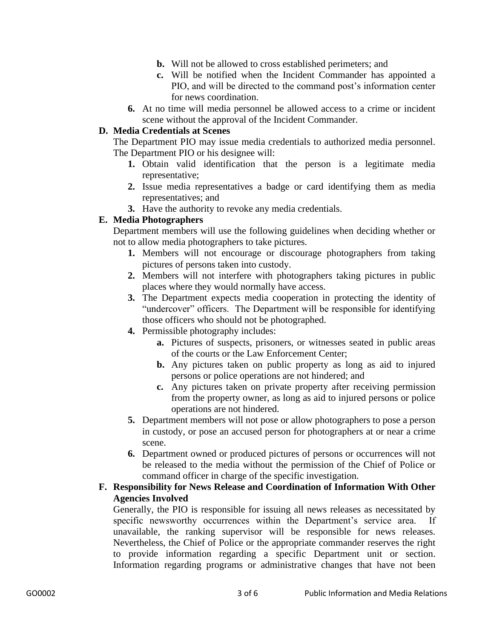- **b.** Will not be allowed to cross established perimeters; and
- **c.** Will be notified when the Incident Commander has appointed a PIO, and will be directed to the command post's information center for news coordination.
- **6.** At no time will media personnel be allowed access to a crime or incident scene without the approval of the Incident Commander.

## **D. Media Credentials at Scenes**

The Department PIO may issue media credentials to authorized media personnel. The Department PIO or his designee will:

- **1.** Obtain valid identification that the person is a legitimate media representative;
- **2.** Issue media representatives a badge or card identifying them as media representatives; and
- **3.** Have the authority to revoke any media credentials.

## **E. Media Photographers**

Department members will use the following guidelines when deciding whether or not to allow media photographers to take pictures.

- **1.** Members will not encourage or discourage photographers from taking pictures of persons taken into custody.
- **2.** Members will not interfere with photographers taking pictures in public places where they would normally have access.
- **3.** The Department expects media cooperation in protecting the identity of "undercover" officers. The Department will be responsible for identifying those officers who should not be photographed.
- **4.** Permissible photography includes:
	- **a.** Pictures of suspects, prisoners, or witnesses seated in public areas of the courts or the Law Enforcement Center;
	- **b.** Any pictures taken on public property as long as aid to injured persons or police operations are not hindered; and
	- **c.** Any pictures taken on private property after receiving permission from the property owner, as long as aid to injured persons or police operations are not hindered.
- **5.** Department members will not pose or allow photographers to pose a person in custody, or pose an accused person for photographers at or near a crime scene.
- **6.** Department owned or produced pictures of persons or occurrences will not be released to the media without the permission of the Chief of Police or command officer in charge of the specific investigation.

# **F. Responsibility for News Release and Coordination of Information With Other Agencies Involved**

Generally, the PIO is responsible for issuing all news releases as necessitated by specific newsworthy occurrences within the Department's service area. unavailable, the ranking supervisor will be responsible for news releases. Nevertheless, the Chief of Police or the appropriate commander reserves the right to provide information regarding a specific Department unit or section. Information regarding programs or administrative changes that have not been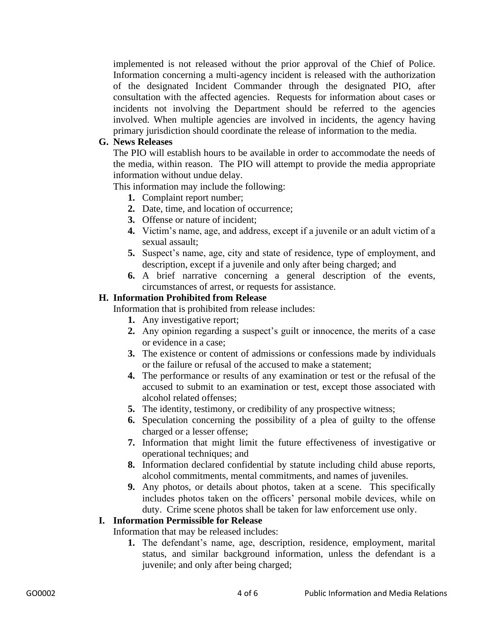implemented is not released without the prior approval of the Chief of Police. Information concerning a multi-agency incident is released with the authorization of the designated Incident Commander through the designated PIO, after consultation with the affected agencies. Requests for information about cases or incidents not involving the Department should be referred to the agencies involved. When multiple agencies are involved in incidents, the agency having primary jurisdiction should coordinate the release of information to the media.

## **G. News Releases**

The PIO will establish hours to be available in order to accommodate the needs of the media, within reason. The PIO will attempt to provide the media appropriate information without undue delay.

This information may include the following:

- **1.** Complaint report number;
- **2.** Date, time, and location of occurrence;
- **3.** Offense or nature of incident;
- **4.** Victim's name, age, and address, except if a juvenile or an adult victim of a sexual assault;
- **5.** Suspect's name, age, city and state of residence, type of employment, and description, except if a juvenile and only after being charged; and
- **6.** A brief narrative concerning a general description of the events, circumstances of arrest, or requests for assistance.

## **H. Information Prohibited from Release**

Information that is prohibited from release includes:

- **1.** Any investigative report;
- **2.** Any opinion regarding a suspect's guilt or innocence, the merits of a case or evidence in a case;
- **3.** The existence or content of admissions or confessions made by individuals or the failure or refusal of the accused to make a statement;
- **4.** The performance or results of any examination or test or the refusal of the accused to submit to an examination or test, except those associated with alcohol related offenses;
- **5.** The identity, testimony, or credibility of any prospective witness;
- **6.** Speculation concerning the possibility of a plea of guilty to the offense charged or a lesser offense;
- **7.** Information that might limit the future effectiveness of investigative or operational techniques; and
- **8.** Information declared confidential by statute including child abuse reports, alcohol commitments, mental commitments, and names of juveniles.
- **9.** Any photos, or details about photos, taken at a scene. This specifically includes photos taken on the officers' personal mobile devices, while on duty. Crime scene photos shall be taken for law enforcement use only.

## **I. Information Permissible for Release**

Information that may be released includes:

**1.** The defendant's name, age, description, residence, employment, marital status, and similar background information, unless the defendant is a juvenile; and only after being charged;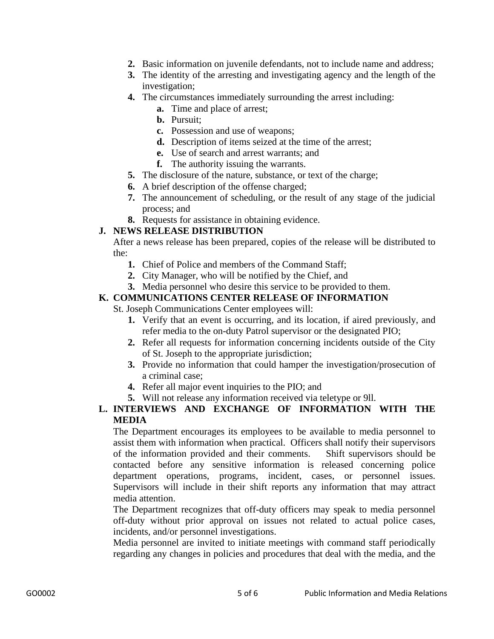- **2.** Basic information on juvenile defendants, not to include name and address;
- **3.** The identity of the arresting and investigating agency and the length of the investigation;
- **4.** The circumstances immediately surrounding the arrest including:
	- **a.** Time and place of arrest;
	- **b.** Pursuit;
	- **c.** Possession and use of weapons;
	- **d.** Description of items seized at the time of the arrest;
	- **e.** Use of search and arrest warrants; and
	- **f.** The authority issuing the warrants.
- **5.** The disclosure of the nature, substance, or text of the charge;
- **6.** A brief description of the offense charged;
- **7.** The announcement of scheduling, or the result of any stage of the judicial process; and
- **8.** Requests for assistance in obtaining evidence.

## **J. NEWS RELEASE DISTRIBUTION**

After a news release has been prepared, copies of the release will be distributed to the:

- **1.** Chief of Police and members of the Command Staff;
- **2.** City Manager, who will be notified by the Chief, and
- **3.** Media personnel who desire this service to be provided to them.

## **K. COMMUNICATIONS CENTER RELEASE OF INFORMATION**

St. Joseph Communications Center employees will:

- **1.** Verify that an event is occurring, and its location, if aired previously, and refer media to the on-duty Patrol supervisor or the designated PIO;
- **2.** Refer all requests for information concerning incidents outside of the City of St. Joseph to the appropriate jurisdiction;
- **3.** Provide no information that could hamper the investigation/prosecution of a criminal case;
- **4.** Refer all major event inquiries to the PIO; and
- **5.** Will not release any information received via teletype or 9ll.

## **L. INTERVIEWS AND EXCHANGE OF INFORMATION WITH THE MEDIA**

The Department encourages its employees to be available to media personnel to assist them with information when practical. Officers shall notify their supervisors of the information provided and their comments. Shift supervisors should be contacted before any sensitive information is released concerning police department operations, programs, incident, cases, or personnel issues. Supervisors will include in their shift reports any information that may attract media attention.

The Department recognizes that off-duty officers may speak to media personnel off-duty without prior approval on issues not related to actual police cases, incidents, and/or personnel investigations.

Media personnel are invited to initiate meetings with command staff periodically regarding any changes in policies and procedures that deal with the media, and the